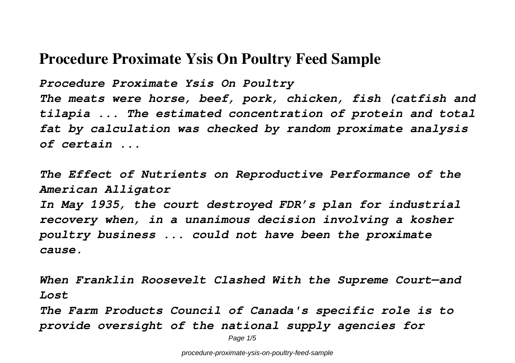## **Procedure Proximate Ysis On Poultry Feed Sample**

*Procedure Proximate Ysis On Poultry*

*The meats were horse, beef, pork, chicken, fish (catfish and tilapia ... The estimated concentration of protein and total fat by calculation was checked by random proximate analysis of certain ...*

*The Effect of Nutrients on Reproductive Performance of the American Alligator In May 1935, the court destroyed FDR's plan for industrial recovery when, in a unanimous decision involving a kosher poultry business ... could not have been the proximate cause.*

*When Franklin Roosevelt Clashed With the Supreme Court—and Lost*

*The Farm Products Council of Canada's specific role is to provide oversight of the national supply agencies for*

Page 1/5

procedure-proximate-ysis-on-poultry-feed-sample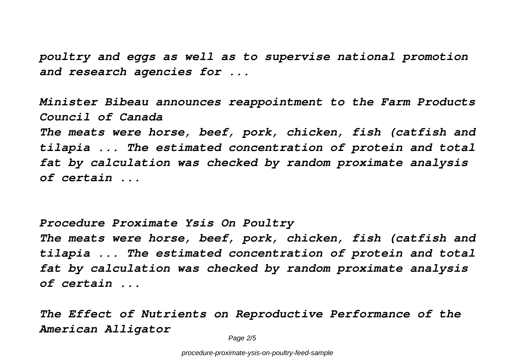*poultry and eggs as well as to supervise national promotion and research agencies for ...*

*Minister Bibeau announces reappointment to the Farm Products Council of Canada*

*The meats were horse, beef, pork, chicken, fish (catfish and tilapia ... The estimated concentration of protein and total fat by calculation was checked by random proximate analysis of certain ...*

*Procedure Proximate Ysis On Poultry*

*The meats were horse, beef, pork, chicken, fish (catfish and tilapia ... The estimated concentration of protein and total fat by calculation was checked by random proximate analysis of certain ...*

*The Effect of Nutrients on Reproductive Performance of the American Alligator*

Page 2/5

procedure-proximate-ysis-on-poultry-feed-sample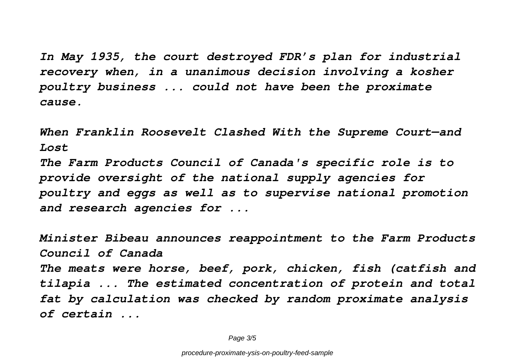*In May 1935, the court destroyed FDR's plan for industrial recovery when, in a unanimous decision involving a kosher poultry business ... could not have been the proximate cause.*

*When Franklin Roosevelt Clashed With the Supreme Court—and Lost*

*The Farm Products Council of Canada's specific role is to provide oversight of the national supply agencies for poultry and eggs as well as to supervise national promotion and research agencies for ...*

*Minister Bibeau announces reappointment to the Farm Products Council of Canada The meats were horse, beef, pork, chicken, fish (catfish and tilapia ... The estimated concentration of protein and total fat by calculation was checked by random proximate analysis of certain ...*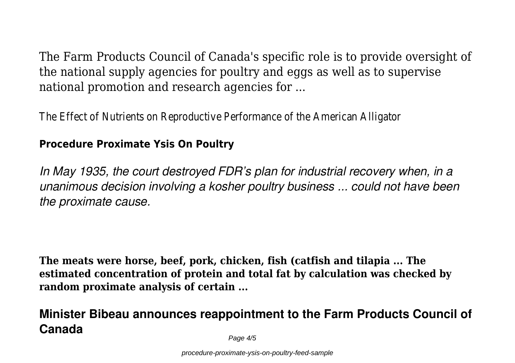The Farm Products Council of Canada's specific role is to provide oversight of the national supply agencies for poultry and eggs as well as to supervise national promotion and research agencies for ...

The Effect of Nutrients on Reproductive Performance of the American Alligator

## **Procedure Proximate Ysis On Poultry**

*In May 1935, the court destroyed FDR's plan for industrial recovery when, in a unanimous decision involving a kosher poultry business ... could not have been the proximate cause.*

**The meats were horse, beef, pork, chicken, fish (catfish and tilapia ... The estimated concentration of protein and total fat by calculation was checked by random proximate analysis of certain ...**

## **Minister Bibeau announces reappointment to the Farm Products Council of Canada**

Page  $4/5$